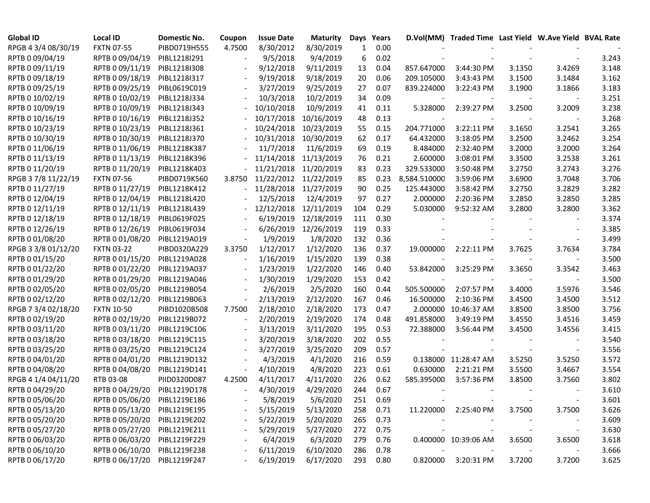| <b>Global ID</b>    | <b>Local ID</b>              | <b>Domestic No.</b> | Coupon | <b>Issue Date</b> | Maturity   | Days | Years    |                          | D.Vol(MM) Traded Time Last Yield W.Ave Yield BVAL Rate |        |                          |       |
|---------------------|------------------------------|---------------------|--------|-------------------|------------|------|----------|--------------------------|--------------------------------------------------------|--------|--------------------------|-------|
| RPGB 4 3/4 08/30/19 | <b>FXTN 07-55</b>            | PIBD0719H555        | 4.7500 | 8/30/2012         | 8/30/2019  | 1    | 0.00     |                          |                                                        |        |                          |       |
| RPTB 0 09/04/19     | RPTB 0 09/04/19              | PIBL1218I291        |        | 9/5/2018          | 9/4/2019   | 6    | 0.02     |                          |                                                        |        |                          | 3.243 |
| RPTB 0 09/11/19     | RPTB 0 09/11/19              | PIBL1218I308        |        | 9/12/2018         | 9/11/2019  | 13   | 0.04     | 857.647000               | 3:44:30 PM                                             | 3.1350 | 3.4269                   | 3.148 |
| RPTB 0 09/18/19     | RPTB 0 09/18/19              | PIBL1218I317        |        | 9/19/2018         | 9/18/2019  | 20   | 0.06     | 209.105000               | 3:43:43 PM                                             | 3.1500 | 3.1484                   | 3.162 |
| RPTB 0 09/25/19     | RPTB 0 09/25/19              | PIBL0619C019        |        | 3/27/2019         | 9/25/2019  | 27   | 0.07     | 839.224000               | 3:22:43 PM                                             | 3.1900 | 3.1866                   | 3.183 |
| RPTB 0 10/02/19     | RPTB 0 10/02/19              | PIBL1218J334        |        | 10/3/2018         | 10/2/2019  | 34   | 0.09     |                          |                                                        |        |                          | 3.251 |
| RPTB 0 10/09/19     | RPTB 0 10/09/19              | PIBL1218J343        |        | 10/10/2018        | 10/9/2019  | 41   | 0.11     | 5.328000                 | 2:39:27 PM                                             | 3.2500 | 3.2009                   | 3.238 |
| RPTB 0 10/16/19     | RPTB 0 10/16/19              | PIBL1218J352        |        | 10/17/2018        | 10/16/2019 | 48   | 0.13     |                          |                                                        |        |                          | 3.268 |
| RPTB 0 10/23/19     | RPTB 0 10/23/19              | PIBL1218J361        |        | 10/24/2018        | 10/23/2019 | 55   | 0.15     | 204.771000               | 3:22:11 PM                                             | 3.1650 | 3.2541                   | 3.265 |
| RPTB 0 10/30/19     | RPTB 0 10/30/19              | PIBL1218J370        |        | 10/31/2018        | 10/30/2019 | 62   | 0.17     | 64.432000                | 3:18:05 PM                                             | 3.2500 | 3.2462                   | 3.254 |
| RPTB 0 11/06/19     | RPTB 0 11/06/19              | PIBL1218K387        |        | 11/7/2018         | 11/6/2019  | 69   | 0.19     | 8.484000                 | 2:32:40 PM                                             | 3.2000 | 3.2000                   | 3.264 |
| RPTB 0 11/13/19     | RPTB 0 11/13/19              | PIBL1218K396        |        | 11/14/2018        | 11/13/2019 | 76   | 0.21     | 2.600000                 | 3:08:01 PM                                             | 3.3500 | 3.2538                   | 3.261 |
| RPTB 0 11/20/19     | RPTB 0 11/20/19              | PIBL1218K403        |        | 11/21/2018        | 11/20/2019 | 83   | 0.23     | 329.533000               | 3:50:48 PM                                             | 3.2750 | 3.2743                   | 3.276 |
| RPGB 37/8 11/22/19  | <b>FXTN 07-56</b>            | PIBD0719K560        | 3.8750 | 11/22/2012        | 11/22/2019 | 85   | 0.23     | 8,584.510000             | 3:59:06 PM                                             | 3.6900 | 3.7048                   | 3.706 |
| RPTB 0 11/27/19     | RPTB 0 11/27/19              | PIBL1218K412        |        | 11/28/2018        | 11/27/2019 | 90   | 0.25     | 125.443000               | 3:58:42 PM                                             | 3.2750 | 3.2829                   | 3.282 |
| RPTB 0 12/04/19     | RPTB 0 12/04/19              | PIBL1218L420        |        | 12/5/2018         | 12/4/2019  | 97   | 0.27     | 2.000000                 | 2:20:36 PM                                             | 3.2850 | 3.2850                   | 3.285 |
| RPTB 0 12/11/19     | RPTB 0 12/11/19              | PIBL1218L439        |        | 12/12/2018        | 12/11/2019 | 104  | 0.29     | 5.030000                 | 9:52:32 AM                                             | 3.2800 | 3.2800                   | 3.362 |
| RPTB 0 12/18/19     | RPTB 0 12/18/19              | PIBL0619F025        |        | 6/19/2019         | 12/18/2019 | 111  | 0.30     |                          |                                                        |        |                          | 3.374 |
| RPTB 0 12/26/19     | RPTB 0 12/26/19              | PIBL0619F034        |        | 6/26/2019         | 12/26/2019 | 119  | 0.33     |                          |                                                        |        |                          | 3.385 |
| RPTB 0 01/08/20     | RPTB 0 01/08/20              | PIBL1219A019        |        | 1/9/2019          | 1/8/2020   | 132  | 0.36     |                          |                                                        |        |                          | 3.499 |
| RPGB 3 3/8 01/12/20 | <b>FXTN 03-22</b>            | PIBD0320A229        | 3.3750 | 1/12/2017         | 1/12/2020  | 136  | 0.37     | 19.000000                | 2:22:11 PM                                             | 3.7625 | 3.7634                   | 3.784 |
| RPTB 0 01/15/20     | RPTB 0 01/15/20              | PIBL1219A028        |        | 1/16/2019         | 1/15/2020  | 139  | 0.38     |                          |                                                        |        |                          | 3.500 |
| RPTB 0 01/22/20     | RPTB 0 01/22/20              | PIBL1219A037        |        | 1/23/2019         | 1/22/2020  | 146  | 0.40     | 53.842000                | 3:25:29 PM                                             | 3.3650 | 3.3542                   | 3.463 |
| RPTB 0 01/29/20     | RPTB 0 01/29/20              | PIBL1219A046        |        | 1/30/2019         | 1/29/2020  | 153  | 0.42     | $\overline{\phantom{a}}$ |                                                        |        | $\overline{\phantom{a}}$ | 3.500 |
| RPTB 0 02/05/20     | RPTB 0 02/05/20              | PIBL1219B054        |        | 2/6/2019          | 2/5/2020   | 160  | 0.44     | 505.500000               | 2:07:57 PM                                             | 3.4000 | 3.5976                   | 3.546 |
| RPTB 0 02/12/20     | RPTB 0 02/12/20              | PIBL1219B063        |        | 2/13/2019         | 2/12/2020  | 167  | 0.46     | 16.500000                | 2:10:36 PM                                             | 3.4500 | 3.4500                   | 3.512 |
| RPGB 7 3/4 02/18/20 | <b>FXTN 10-50</b>            | PIBD1020B508        | 7.7500 | 2/18/2010         | 2/18/2020  | 173  | 0.47     |                          | 2.000000 10:46:37 AM                                   | 3.8500 | 3.8500                   | 3.756 |
| RPTB 0 02/19/20     | RPTB 0 02/19/20              | PIBL1219B072        |        | 2/20/2019         | 2/19/2020  | 174  | 0.48     | 491.858000               | 3:49:19 PM                                             | 3.4550 | 3.4516                   | 3.459 |
| RPTB 0 03/11/20     | RPTB 0 03/11/20              | PIBL1219C106        |        | 3/13/2019         | 3/11/2020  | 195  | 0.53     | 72.388000                | 3:56:44 PM                                             | 3.4500 | 3.4556                   | 3.415 |
| RPTB 0 03/18/20     | RPTB 0 03/18/20              | PIBL1219C115        |        | 3/20/2019         | 3/18/2020  | 202  | 0.55     |                          |                                                        |        |                          | 3.540 |
| RPTB 0 03/25/20     | RPTB 0 03/25/20              | PIBL1219C124        |        | 3/27/2019         | 3/25/2020  | 209  | 0.57     |                          |                                                        |        |                          | 3.556 |
| RPTB 0 04/01/20     | RPTB 0 04/01/20              | PIBL1219D132        |        | 4/3/2019          | 4/1/2020   | 216  | 0.59     |                          | 0.138000 11:28:47 AM                                   | 3.5250 | 3.5250                   | 3.572 |
| RPTB 0 04/08/20     | RPTB 0 04/08/20              | PIBL1219D141        |        | 4/10/2019         | 4/8/2020   | 223  | 0.61     | 0.630000                 | 2:21:21 PM                                             | 3.5500 | 3.4667                   | 3.554 |
| RPGB 4 1/4 04/11/20 | RTB 03-08                    | PIID0320D087        | 4.2500 | 4/11/2017         | 4/11/2020  | 226  | 0.62     | 585.395000               | 3:57:36 PM                                             | 3.8500 | 3.7560                   | 3.802 |
| RPTB 0 04/29/20     | RPTB 0 04/29/20              | PIBL1219D178        |        | 4/30/2019         | 4/29/2020  | 244  | 0.67     |                          |                                                        |        |                          | 3.610 |
| RPTB 0 05/06/20     | RPTB 0 05/06/20              | PIBL1219E186        |        | 5/8/2019          | 5/6/2020   | 251  | 0.69     |                          |                                                        |        |                          | 3.601 |
| RPTB 0 05/13/20     | RPTB 0 05/13/20 PIBL1219E195 |                     |        | 5/15/2019         | 5/13/2020  |      | 258 0.71 |                          | 11.220000 2:25:40 PM                                   | 3.7500 | 3.7500                   | 3.626 |
| RPTB 0 05/20/20     | RPTB 0 05/20/20              | PIBL1219E202        |        | 5/22/2019         | 5/20/2020  | 265  | 0.73     |                          |                                                        |        |                          | 3.609 |
| RPTB 0 05/27/20     | RPTB 0 05/27/20              | PIBL1219E211        |        | 5/29/2019         | 5/27/2020  | 272  | 0.75     |                          |                                                        |        | $\overline{\phantom{a}}$ | 3.630 |
| RPTB 0 06/03/20     | RPTB 0 06/03/20              | PIBL1219F229        |        | 6/4/2019          | 6/3/2020   | 279  | 0.76     |                          | 0.400000 10:39:06 AM                                   | 3.6500 | 3.6500                   | 3.618 |
| RPTB 0 06/10/20     | RPTB 0 06/10/20              | PIBL1219F238        |        | 6/11/2019         | 6/10/2020  | 286  | 0.78     | $\sim$                   |                                                        |        |                          | 3.666 |
| RPTB 0 06/17/20     | RPTB 0 06/17/20              | PIBL1219F247        |        | 6/19/2019         | 6/17/2020  | 293  | 0.80     |                          | 0.820000 3:20:31 PM                                    | 3.7200 | 3.7200                   | 3.625 |
|                     |                              |                     |        |                   |            |      |          |                          |                                                        |        |                          |       |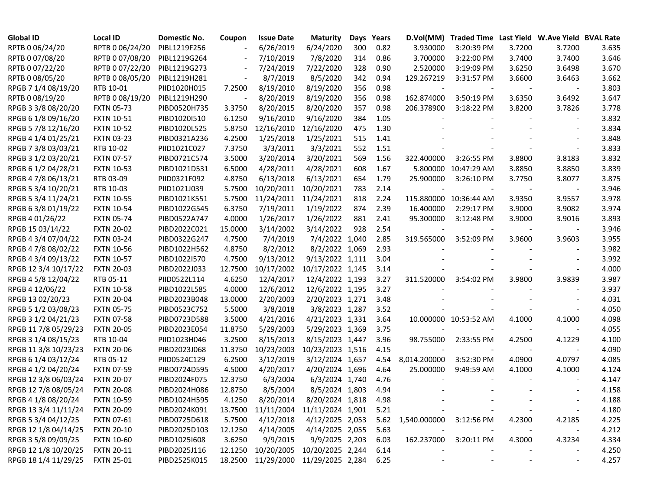| <b>Global ID</b>     | <b>Local ID</b>   | Domestic No. | Coupon  | <b>Issue Date</b>  | <b>Maturity</b>                          |     | Days Years | D.Vol(MM)                    | Traded Time Last Yield W.Ave Yield BVAL Rate |        |        |       |
|----------------------|-------------------|--------------|---------|--------------------|------------------------------------------|-----|------------|------------------------------|----------------------------------------------|--------|--------|-------|
| RPTB 0 06/24/20      | RPTB 0 06/24/20   | PIBL1219F256 |         | 6/26/2019          | 6/24/2020                                | 300 | 0.82       | 3.930000                     | 3:20:39 PM                                   | 3.7200 | 3.7200 | 3.635 |
| RPTB 0 07/08/20      | RPTB 0 07/08/20   | PIBL1219G264 |         | 7/10/2019          | 7/8/2020                                 | 314 | 0.86       | 3.700000                     | 3:22:00 PM                                   | 3.7400 | 3.7400 | 3.646 |
| RPTB 0 07/22/20      | RPTB 0 07/22/20   | PIBL1219G273 |         | 7/24/2019          | 7/22/2020                                | 328 | 0.90       | 2.520000                     | 3:19:09 PM                                   | 3.6250 | 3.6498 | 3.670 |
| RPTB 0 08/05/20      | RPTB 0 08/05/20   | PIBL1219H281 |         | 8/7/2019           | 8/5/2020                                 | 342 | 0.94       | 129.267219                   | 3:31:57 PM                                   | 3.6600 | 3.6463 | 3.662 |
| RPGB 7 1/4 08/19/20  | RTB 10-01         | PIID1020H015 | 7.2500  | 8/19/2010          | 8/19/2020                                | 356 | 0.98       |                              |                                              |        |        | 3.803 |
| RPTB 0 08/19/20      | RPTB 0 08/19/20   | PIBL1219H290 |         | 8/20/2019          | 8/19/2020                                | 356 | 0.98       | 162.874000                   | 3:50:19 PM                                   | 3.6350 | 3.6492 | 3.647 |
| RPGB 3 3/8 08/20/20  | <b>FXTN 05-73</b> | PIBD0520H735 | 3.3750  | 8/20/2015          | 8/20/2020                                | 357 | 0.98       | 206.378900                   | 3:18:22 PM                                   | 3.8200 | 3.7826 | 3.778 |
| RPGB 6 1/8 09/16/20  | <b>FXTN 10-51</b> | PIBD1020I510 | 6.1250  | 9/16/2010          | 9/16/2020                                | 384 | 1.05       |                              |                                              |        |        | 3.832 |
| RPGB 5 7/8 12/16/20  | <b>FXTN 10-52</b> | PIBD1020L525 | 5.8750  | 12/16/2010         | 12/16/2020                               | 475 | 1.30       |                              |                                              |        |        | 3.834 |
| RPGB 4 1/4 01/25/21  | <b>FXTN 03-23</b> | PIBD0321A236 | 4.2500  | 1/25/2018          | 1/25/2021                                | 515 | 1.41       |                              |                                              |        |        | 3.848 |
| RPGB 7 3/8 03/03/21  | RTB 10-02         | PIID1021C027 | 7.3750  | 3/3/2011           | 3/3/2021                                 | 552 | 1.51       |                              |                                              |        |        | 3.833 |
| RPGB 3 1/2 03/20/21  | <b>FXTN 07-57</b> | PIBD0721C574 | 3.5000  | 3/20/2014          | 3/20/2021                                | 569 | 1.56       | 322.400000                   | 3:26:55 PM                                   | 3.8800 | 3.8183 | 3.832 |
| RPGB 6 1/2 04/28/21  | <b>FXTN 10-53</b> | PIBD1021D531 | 6.5000  | 4/28/2011          | 4/28/2021                                | 608 | 1.67       |                              | 5.800000 10:47:29 AM                         | 3.8850 | 3.8850 | 3.839 |
| RPGB 4 7/8 06/13/21  | RTB 03-09         | PIID0321F092 | 4.8750  | 6/13/2018          | 6/13/2021                                | 654 | 1.79       | 25.900000                    | 3:26:10 PM                                   | 3.7750 | 3.8077 | 3.875 |
| RPGB 5 3/4 10/20/21  | RTB 10-03         | PIID1021J039 | 5.7500  | 10/20/2011         | 10/20/2021                               | 783 | 2.14       |                              |                                              |        |        | 3.946 |
| RPGB 5 3/4 11/24/21  | <b>FXTN 10-55</b> | PIBD1021K551 | 5.7500  | 11/24/2011         | 11/24/2021                               | 818 | 2.24       |                              | 115.880000 10:36:44 AM                       | 3.9350 | 3.9557 | 3.978 |
| RPGB 6 3/8 01/19/22  | <b>FXTN 10-54</b> | PIBD1022G545 | 6.3750  | 7/19/2011          | 1/19/2022                                | 874 | 2.39       | 16.400000                    | 2:29:17 PM                                   | 3.9000 | 3.9082 | 3.974 |
| RPGB 4 01/26/22      | <b>FXTN 05-74</b> | PIBD0522A747 | 4.0000  | 1/26/2017          | 1/26/2022                                | 881 | 2.41       | 95.300000                    | 3:12:48 PM                                   | 3.9000 | 3.9016 | 3.893 |
| RPGB 15 03/14/22     | <b>FXTN 20-02</b> | PIBD2022C021 | 15.0000 | 3/14/2002          | 3/14/2022                                | 928 | 2.54       |                              |                                              |        |        | 3.946 |
| RPGB 4 3/4 07/04/22  | <b>FXTN 03-24</b> | PIBD0322G247 | 4.7500  | 7/4/2019           | 7/4/2022 1,040                           |     | 2.85       | 319.565000                   | 3:52:09 PM                                   | 3.9600 | 3.9603 | 3.955 |
| RPGB 4 7/8 08/02/22  | <b>FXTN 10-56</b> | PIBD1022H562 | 4.8750  | 8/2/2012           | 8/2/2022 1,069                           |     | 2.93       |                              |                                              |        |        | 3.982 |
| RPGB 4 3/4 09/13/22  | <b>FXTN 10-57</b> | PIBD1022I570 | 4.7500  | 9/13/2012          | 9/13/2022 1,111                          |     | 3.04       |                              |                                              |        |        | 3.992 |
| RPGB 12 3/4 10/17/22 | <b>FXTN 20-03</b> | PIBD2022J033 | 12.7500 | 10/17/2002         | 10/17/2022 1,145                         |     | 3.14       |                              |                                              |        |        | 4.000 |
| RPGB 4 5/8 12/04/22  | RTB 05-11         | PIID0522L114 | 4.6250  | 12/4/2017          | 12/4/2022 1,193                          |     | 3.27       | 311.520000                   | 3:54:02 PM                                   | 3.9800 | 3.9839 | 3.987 |
| RPGB 4 12/06/22      | <b>FXTN 10-58</b> | PIBD1022L585 | 4.0000  | 12/6/2012          | 12/6/2022 1,195                          |     | 3.27       |                              |                                              |        |        | 3.937 |
| RPGB 13 02/20/23     | <b>FXTN 20-04</b> | PIBD2023B048 | 13.0000 | 2/20/2003          | 2/20/2023 1,271                          |     | 3.48       |                              |                                              |        |        | 4.031 |
| RPGB 5 1/2 03/08/23  | <b>FXTN 05-75</b> | PIBD0523C752 | 5.5000  | 3/8/2018           | 3/8/2023 1,287                           |     | 3.52       |                              |                                              |        |        | 4.050 |
| RPGB 3 1/2 04/21/23  | <b>FXTN 07-58</b> | PIBD0723D588 | 3.5000  | 4/21/2016          | 4/21/2023 1,331                          |     | 3.64       |                              | 10.000000 10:53:52 AM                        | 4.1000 | 4.1000 | 4.098 |
| RPGB 11 7/8 05/29/23 | <b>FXTN 20-05</b> | PIBD2023E054 | 11.8750 | 5/29/2003          | 5/29/2023 1,369                          |     | 3.75       |                              |                                              |        |        | 4.055 |
| RPGB 3 1/4 08/15/23  | RTB 10-04         | PIID1023H046 | 3.2500  | 8/15/2013          | 8/15/2023 1,447                          |     | 3.96       | 98.755000                    | 2:33:55 PM                                   | 4.2500 | 4.1229 | 4.100 |
| RPGB 11 3/8 10/23/23 | <b>FXTN 20-06</b> | PIBD2023J068 | 11.3750 | 10/23/2003         | 10/23/2023 1,516                         |     | 4.15       |                              |                                              |        |        | 4.090 |
| RPGB 6 1/4 03/12/24  | RTB 05-12         | PIID0524C129 | 6.2500  | 3/12/2019          | 3/12/2024 1,657                          |     | 4.54       | 8,014.200000                 | 3:52:30 PM                                   | 4.0900 | 4.0797 | 4.085 |
| RPGB 4 1/2 04/20/24  | <b>FXTN 07-59</b> | PIBD0724D595 | 4.5000  | 4/20/2017          | 4/20/2024 1,696                          |     | 4.64       | 25.000000                    | 9:49:59 AM                                   | 4.1000 | 4.1000 | 4.124 |
| RPGB 12 3/8 06/03/24 | <b>FXTN 20-07</b> | PIBD2024F075 | 12.3750 | 6/3/2004           | 6/3/2024 1,740                           |     | 4.76       |                              |                                              |        |        | 4.147 |
| RPGB 12 7/8 08/05/24 | <b>FXTN 20-08</b> | PIBD2024H086 | 12.8750 | 8/5/2004           | 8/5/2024 1,803                           |     | 4.94       |                              |                                              |        |        | 4.158 |
| RPGB 4 1/8 08/20/24  | <b>FXTN 10-59</b> | PIBD1024H595 | 4.1250  | 8/20/2014          | 8/20/2024 1,818                          |     | 4.98       |                              |                                              |        |        | 4.188 |
| RPGB 13 3/4 11/11/24 | <b>FXTN 20-09</b> | PIBD2024K091 |         |                    | 13.7500 11/11/2004 11/11/2024 1,901      |     | 5.21       |                              |                                              |        |        | 4.180 |
| RPGB 5 3/4 04/12/25  | <b>FXTN 07-61</b> | PIBD0725D618 | 5.7500  | 4/12/2018          | 4/12/2025 2,053                          |     |            | 5.62 1,540.000000 3:12:56 PM |                                              | 4.2300 | 4.2185 | 4.225 |
| RPGB 12 1/8 04/14/25 | <b>FXTN 20-10</b> | PIBD2025D103 | 12.1250 | 4/14/2005          | 4/14/2025 2,055                          |     | 5.63       |                              |                                              |        |        | 4.212 |
| RPGB 3 5/8 09/09/25  | <b>FXTN 10-60</b> | PIBD10251608 | 3.6250  | 9/9/2015           | 9/9/2025 2,203                           |     | 6.03       | 162.237000                   | 3:20:11 PM                                   | 4.3000 | 4.3234 | 4.334 |
| RPGB 12 1/8 10/20/25 | <b>FXTN 20-11</b> | PIBD2025J116 |         | 12.1250 10/20/2005 | 10/20/2025 2,244                         |     | 6.14       |                              |                                              |        |        | 4.250 |
| RPGB 18 1/4 11/29/25 | <b>FXTN 25-01</b> | PIBD2525K015 |         |                    | 18.2500 11/29/2000 11/29/2025 2,284 6.25 |     |            |                              |                                              |        |        | 4.257 |